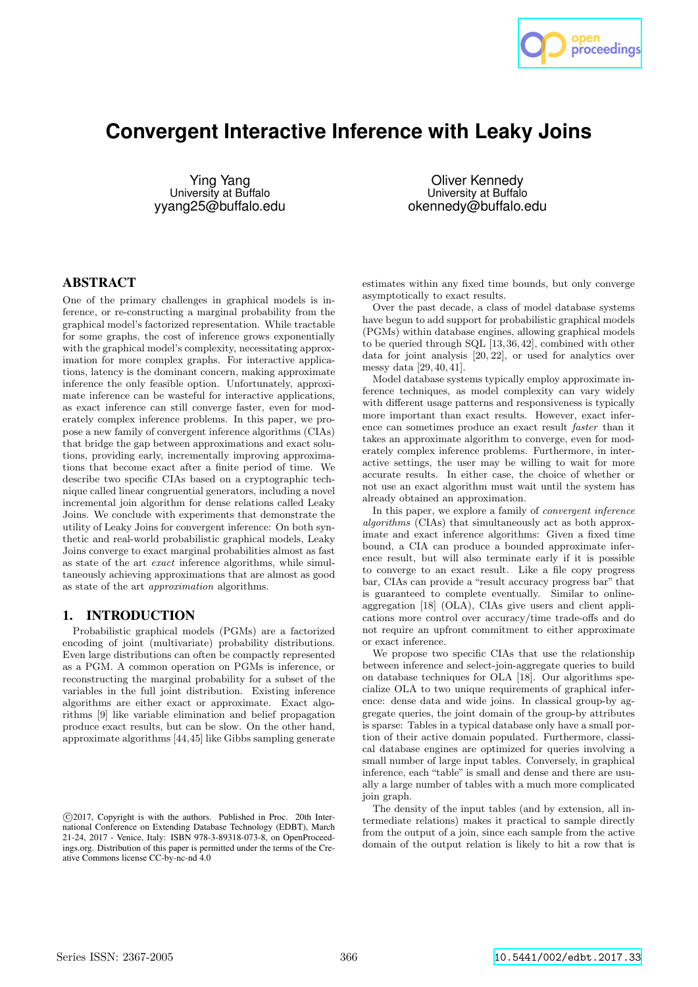

# **Convergent Interactive Inference with Leaky Joins**

Ying Yang University at Buffalo yyang25@buffalo.edu

Oliver Kennedy University at Buffalo okennedy@buffalo.edu

# ABSTRACT

One of the primary challenges in graphical models is inference, or re-constructing a marginal probability from the graphical model's factorized representation. While tractable for some graphs, the cost of inference grows exponentially with the graphical model's complexity, necessitating approximation for more complex graphs. For interactive applications, latency is the dominant concern, making approximate inference the only feasible option. Unfortunately, approximate inference can be wasteful for interactive applications, as exact inference can still converge faster, even for moderately complex inference problems. In this paper, we propose a new family of convergent inference algorithms (CIAs) that bridge the gap between approximations and exact solutions, providing early, incrementally improving approximations that become exact after a finite period of time. We describe two specific CIAs based on a cryptographic technique called linear congruential generators, including a novel incremental join algorithm for dense relations called Leaky Joins. We conclude with experiments that demonstrate the utility of Leaky Joins for convergent inference: On both synthetic and real-world probabilistic graphical models, Leaky Joins converge to exact marginal probabilities almost as fast as state of the art exact inference algorithms, while simultaneously achieving approximations that are almost as good as state of the art approximation algorithms.

# 1. INTRODUCTION

Probabilistic graphical models (PGMs) are a factorized encoding of joint (multivariate) probability distributions. Even large distributions can often be compactly represented as a PGM. A common operation on PGMs is inference, or reconstructing the marginal probability for a subset of the variables in the full joint distribution. Existing inference algorithms are either exact or approximate. Exact algorithms [9] like variable elimination and belief propagation produce exact results, but can be slow. On the other hand, approximate algorithms [44,45] like Gibbs sampling generate estimates within any fixed time bounds, but only converge asymptotically to exact results.

Over the past decade, a class of model database systems have begun to add support for probabilistic graphical models (PGMs) within database engines, allowing graphical models to be queried through SQL [13, 36, 42], combined with other data for joint analysis [20, 22], or used for analytics over messy data [29, 40, 41].

Model database systems typically employ approximate inference techniques, as model complexity can vary widely with different usage patterns and responsiveness is typically more important than exact results. However, exact inference can sometimes produce an exact result faster than it takes an approximate algorithm to converge, even for moderately complex inference problems. Furthermore, in interactive settings, the user may be willing to wait for more accurate results. In either case, the choice of whether or not use an exact algorithm must wait until the system has already obtained an approximation.

In this paper, we explore a family of convergent inference algorithms (CIAs) that simultaneously act as both approximate and exact inference algorithms: Given a fixed time bound, a CIA can produce a bounded approximate inference result, but will also terminate early if it is possible to converge to an exact result. Like a file copy progress bar, CIAs can provide a "result accuracy progress bar" that is guaranteed to complete eventually. Similar to onlineaggregation [18] (OLA), CIAs give users and client applications more control over accuracy/time trade-offs and do not require an upfront commitment to either approximate or exact inference.

We propose two specific CIAs that use the relationship between inference and select-join-aggregate queries to build on database techniques for OLA [18]. Our algorithms specialize OLA to two unique requirements of graphical inference: dense data and wide joins. In classical group-by aggregate queries, the joint domain of the group-by attributes is sparse: Tables in a typical database only have a small portion of their active domain populated. Furthermore, classical database engines are optimized for queries involving a small number of large input tables. Conversely, in graphical inference, each "table" is small and dense and there are usually a large number of tables with a much more complicated join graph.

The density of the input tables (and by extension, all intermediate relations) makes it practical to sample directly from the output of a join, since each sample from the active domain of the output relation is likely to hit a row that is

c 2017, Copyright is with the authors. Published in Proc. 20th International Conference on Extending Database Technology (EDBT), March 21-24, 2017 - Venice, Italy: ISBN 978-3-89318-073-8, on OpenProceedings.org. Distribution of this paper is permitted under the terms of the Creative Commons license CC-by-nc-nd 4.0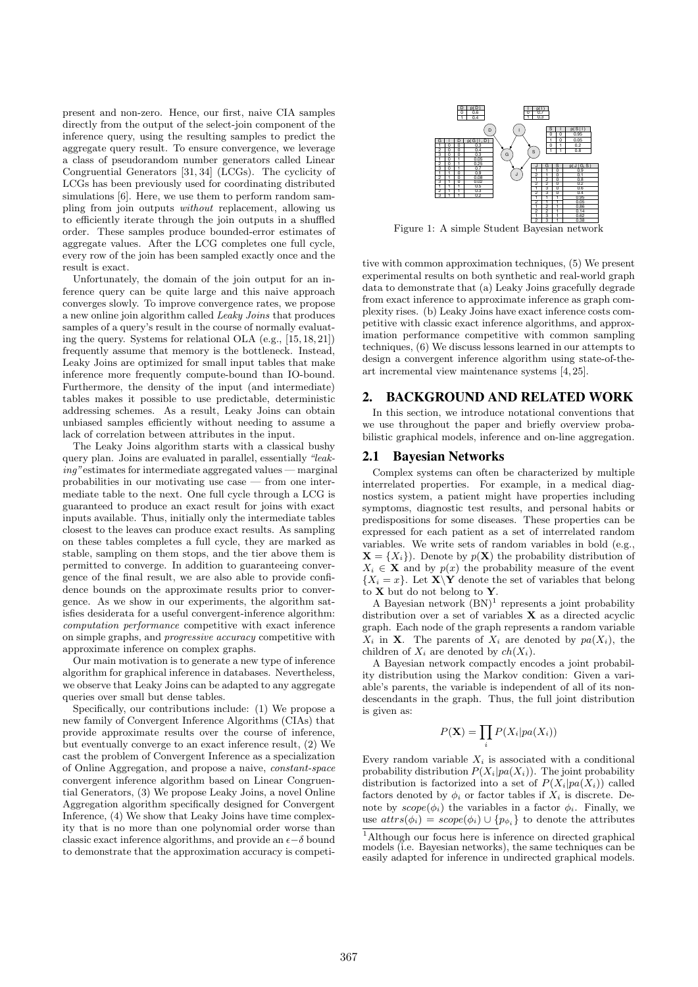present and non-zero. Hence, our first, naive CIA samples directly from the output of the select-join component of the inference query, using the resulting samples to predict the aggregate query result. To ensure convergence, we leverage a class of pseudorandom number generators called Linear Congruential Generators [31, 34] (LCGs). The cyclicity of LCGs has been previously used for coordinating distributed simulations [6]. Here, we use them to perform random sampling from join outputs *without* replacement, allowing us to efficiently iterate through the join outputs in a shuffled order. These samples produce bounded-error estimates of aggregate values. After the LCG completes one full cycle, every row of the join has been sampled exactly once and the result is exact.

Unfortunately, the domain of the join output for an inference query can be quite large and this naive approach converges slowly. To improve convergence rates, we propose a new online join algorithm called Leaky Joins that produces samples of a query's result in the course of normally evaluating the query. Systems for relational OLA (e.g., [15, 18, 21]) frequently assume that memory is the bottleneck. Instead, Leaky Joins are optimized for small input tables that make inference more frequently compute-bound than IO-bound. Furthermore, the density of the input (and intermediate) tables makes it possible to use predictable, deterministic addressing schemes. As a result, Leaky Joins can obtain unbiased samples efficiently without needing to assume a lack of correlation between attributes in the input.

The Leaky Joins algorithm starts with a classical bushy query plan. Joins are evaluated in parallel, essentially "leaking"estimates for intermediate aggregated values — marginal probabilities in our motivating use case — from one intermediate table to the next. One full cycle through a LCG is guaranteed to produce an exact result for joins with exact inputs available. Thus, initially only the intermediate tables closest to the leaves can produce exact results. As sampling on these tables completes a full cycle, they are marked as stable, sampling on them stops, and the tier above them is permitted to converge. In addition to guaranteeing convergence of the final result, we are also able to provide confidence bounds on the approximate results prior to convergence. As we show in our experiments, the algorithm satisfies desiderata for a useful convergent-inference algorithm: computation performance competitive with exact inference on simple graphs, and progressive accuracy competitive with approximate inference on complex graphs.

Our main motivation is to generate a new type of inference algorithm for graphical inference in databases. Nevertheless, we observe that Leaky Joins can be adapted to any aggregate queries over small but dense tables.

Specifically, our contributions include: (1) We propose a new family of Convergent Inference Algorithms (CIAs) that provide approximate results over the course of inference, but eventually converge to an exact inference result, (2) We cast the problem of Convergent Inference as a specialization of Online Aggregation, and propose a naive, constant-space convergent inference algorithm based on Linear Congruential Generators, (3) We propose Leaky Joins, a novel Online Aggregation algorithm specifically designed for Convergent Inference, (4) We show that Leaky Joins have time complexity that is no more than one polynomial order worse than classic exact inference algorithms, and provide an  $\epsilon-\delta$  bound to demonstrate that the approximation accuracy is competi-



Figure 1: A simple Student Bayesian network

tive with common approximation techniques, (5) We present experimental results on both synthetic and real-world graph data to demonstrate that (a) Leaky Joins gracefully degrade from exact inference to approximate inference as graph complexity rises. (b) Leaky Joins have exact inference costs competitive with classic exact inference algorithms, and approximation performance competitive with common sampling techniques, (6) We discuss lessons learned in our attempts to design a convergent inference algorithm using state-of-theart incremental view maintenance systems [4, 25].

# 2. BACKGROUND AND RELATED WORK

In this section, we introduce notational conventions that we use throughout the paper and briefly overview probabilistic graphical models, inference and on-line aggregation.

# 2.1 Bayesian Networks

Complex systems can often be characterized by multiple interrelated properties. For example, in a medical diagnostics system, a patient might have properties including symptoms, diagnostic test results, and personal habits or predispositions for some diseases. These properties can be expressed for each patient as a set of interrelated random variables. We write sets of random variables in bold (e.g.,  $\mathbf{X} = \{X_i\}$ . Denote by  $p(\mathbf{X})$  the probability distribution of  $X_i \in \mathbf{X}$  and by  $p(x)$  the probability measure of the event  $\{X_i = x\}$ . Let  $\mathbf{X} \setminus \mathbf{Y}$  denote the set of variables that belong to  $X$  but do not belong to  $Y$ .

A Bayesian network  $(BN)^1$  represents a joint probability distribution over a set of variables  $X$  as a directed acyclic graph. Each node of the graph represents a random variable  $X_i$  in **X**. The parents of  $X_i$  are denoted by  $pa(X_i)$ , the children of  $X_i$  are denoted by  $ch(X_i)$ .

A Bayesian network compactly encodes a joint probability distribution using the Markov condition: Given a variable's parents, the variable is independent of all of its nondescendants in the graph. Thus, the full joint distribution is given as:

$$
P(\mathbf{X}) = \prod_i P(X_i | pa(X_i))
$$

Every random variable  $X_i$  is associated with a conditional probability distribution  $P(X_i|pa(X_i))$ . The joint probability distribution is factorized into a set of  $P(X_i|pa(X_i))$  called factors denoted by  $\phi_i$  or factor tables if  $X_i$  is discrete. Denote by  $scope(\phi_i)$  the variables in a factor  $\phi_i$ . Finally, we use  $attrs(\phi_i)=scope(\phi_i)\cup\{p_{\phi_i}\}\)$  to denote the attributes

<sup>1</sup>Although our focus here is inference on directed graphical models (i.e. Bayesian networks), the same techniques can be easily adapted for inference in undirected graphical models.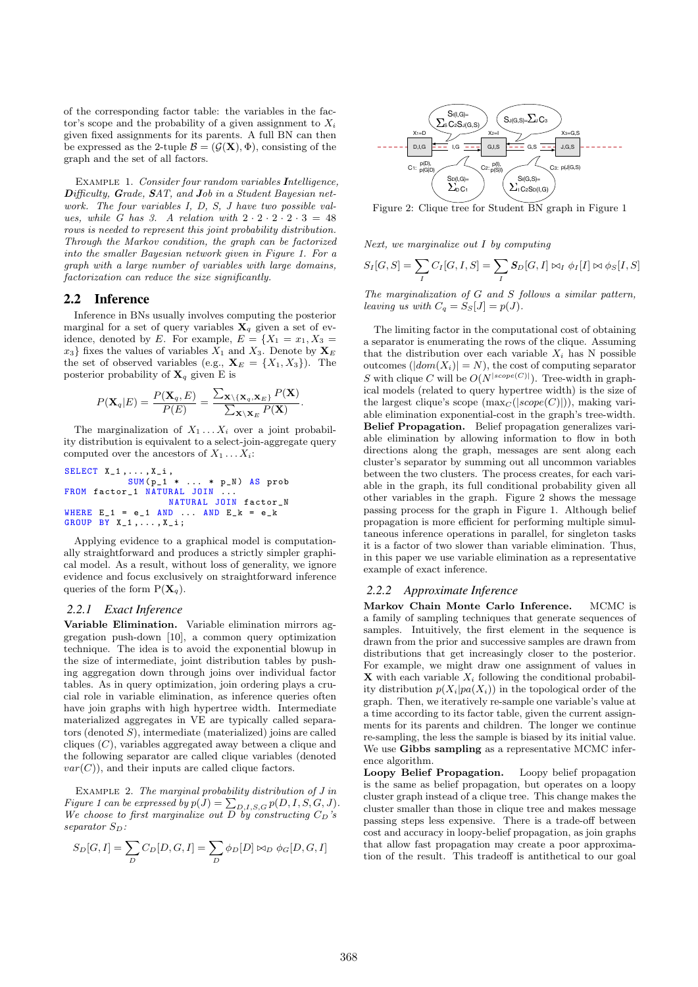of the corresponding factor table: the variables in the factor's scope and the probability of a given assignment to  $X_i$ given fixed assignments for its parents. A full BN can then be expressed as the 2-tuple  $\mathcal{B} = (\mathcal{G}(\mathbf{X}), \Phi)$ , consisting of the graph and the set of all factors.

EXAMPLE 1. Consider four random variables Intelligence, Difficulty, Grade, SAT, and Job in a Student Bayesian network. The four variables I, D, S, J have two possible values, while G has 3. A relation with  $2 \cdot 2 \cdot 2 \cdot 2 \cdot 3 = 48$ rows is needed to represent this joint probability distribution. Through the Markov condition, the graph can be factorized into the smaller Bayesian network given in Figure 1. For a graph with a large number of variables with large domains, factorization can reduce the size significantly.

# 2.2 Inference

Inference in BNs usually involves computing the posterior marginal for a set of query variables  $X_q$  given a set of evidence, denoted by E. For example,  $E = \{X_1 = x_1, X_3 =$  $x_3$  fixes the values of variables  $X_1$  and  $X_3$ . Denote by  $\mathbf{X}_E$ the set of observed variables (e.g.,  $\mathbf{X}_E = \{X_1, X_3\}$ ). The posterior probability of  $X_q$  given E is

$$
P(\mathbf{X}_q|E) = \frac{P(\mathbf{X}_q,E)}{P(E)} = \frac{\sum_{\mathbf{X}\setminus{\{\mathbf{X}_q,\mathbf{X}_E\}}}P(\mathbf{X})}{\sum_{\mathbf{X}\setminus{\mathbf{X}_E}}P(\mathbf{X})}.
$$

The marginalization of  $X_1 \ldots X_i$  over a joint probability distribution is equivalent to a select-join-aggregate query computed over the ancestors of  $X_1 \ldots X_i$ :

SELECT X\_1 ,... , X\_i , SUM( p\_1 \* ... \* p\_N ) AS prob FROM factor\_1 NATURAL JOIN ... NATURAL JOIN factor\_N WHERE E\_1 = e\_1 AND ... AND E\_k = e\_k GROUP BY X\_1 ,... , X\_i ;

Applying evidence to a graphical model is computationally straightforward and produces a strictly simpler graphical model. As a result, without loss of generality, we ignore evidence and focus exclusively on straightforward inference queries of the form  $P(\mathbf{X}_q)$ .

#### *2.2.1 Exact Inference*

Variable Elimination. Variable elimination mirrors aggregation push-down [10], a common query optimization technique. The idea is to avoid the exponential blowup in the size of intermediate, joint distribution tables by pushing aggregation down through joins over individual factor tables. As in query optimization, join ordering plays a crucial role in variable elimination, as inference queries often have join graphs with high hypertree width. Intermediate materialized aggregates in VE are typically called separators (denoted  $S$ ), intermediate (materialized) joins are called cliques  $(C)$ , variables aggregated away between a clique and the following separator are called clique variables (denoted  $var(C)$ , and their inputs are called clique factors.

Example 2. The marginal probability distribution of J in Figure 1 can be expressed by  $p(J) = \sum_{D,I,S,G} p(D,I,S,G,J).$ We choose to first marginalize out  $D$  by constructing  $C_D$ 's  $separationS_D$ :

$$
S_D[G, I] = \sum_D C_D[D, G, I] = \sum_D \phi_D[D] \bowtie_D \phi_G[D, G, I]
$$



Figure 2: Clique tree for Student BN graph in Figure 1

Next, we marginalize out I by computing

$$
S_I[G, S] = \sum_{I} C_I[G, I, S] = \sum_{I} S_D[G, I] \bowtie_I \phi_I[I] \bowtie \phi_S[I, S]
$$

The marginalization of G and S follows a similar pattern, leaving us with  $C_q = S_S[J] = p(J)$ .

The limiting factor in the computational cost of obtaining a separator is enumerating the rows of the clique. Assuming that the distribution over each variable  $X_i$  has N possible outcomes  $(|dom(X_i)| = N)$ , the cost of computing separator S with clique C will be  $O(N^{|scope(C)|})$ . Tree-width in graphical models (related to query hypertree width) is the size of the largest clique's scope  $(\max_C(|scope(C)|))$ , making variable elimination exponential-cost in the graph's tree-width. Belief Propagation. Belief propagation generalizes variable elimination by allowing information to flow in both directions along the graph, messages are sent along each cluster's separator by summing out all uncommon variables between the two clusters. The process creates, for each variable in the graph, its full conditional probability given all other variables in the graph. Figure 2 shows the message passing process for the graph in Figure 1. Although belief propagation is more efficient for performing multiple simultaneous inference operations in parallel, for singleton tasks it is a factor of two slower than variable elimination. Thus, in this paper we use variable elimination as a representative example of exact inference.

#### *2.2.2 Approximate Inference*

Markov Chain Monte Carlo Inference. MCMC is a family of sampling techniques that generate sequences of samples. Intuitively, the first element in the sequence is drawn from the prior and successive samples are drawn from distributions that get increasingly closer to the posterior. For example, we might draw one assignment of values in  $\mathbf X$  with each variable  $X_i$  following the conditional probability distribution  $p(X_i|pa(X_i))$  in the topological order of the graph. Then, we iteratively re-sample one variable's value at a time according to its factor table, given the current assignments for its parents and children. The longer we continue re-sampling, the less the sample is biased by its initial value. We use Gibbs sampling as a representative MCMC inference algorithm.

Loopy Belief Propagation. Loopy belief propagation is the same as belief propagation, but operates on a loopy cluster graph instead of a clique tree. This change makes the cluster smaller than those in clique tree and makes message passing steps less expensive. There is a trade-off between cost and accuracy in loopy-belief propagation, as join graphs that allow fast propagation may create a poor approximation of the result. This tradeoff is antithetical to our goal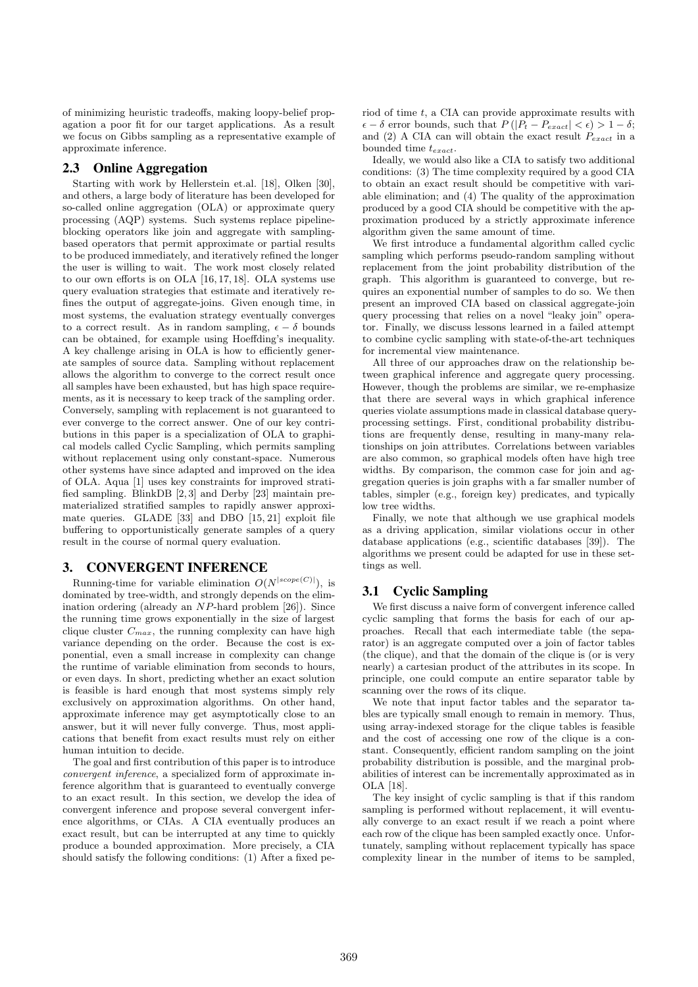of minimizing heuristic tradeoffs, making loopy-belief propagation a poor fit for our target applications. As a result we focus on Gibbs sampling as a representative example of approximate inference.

# 2.3 Online Aggregation

Starting with work by Hellerstein et.al. [18], Olken [30], and others, a large body of literature has been developed for so-called online aggregation (OLA) or approximate query processing (AQP) systems. Such systems replace pipelineblocking operators like join and aggregate with samplingbased operators that permit approximate or partial results to be produced immediately, and iteratively refined the longer the user is willing to wait. The work most closely related to our own efforts is on OLA [16, 17, 18]. OLA systems use query evaluation strategies that estimate and iteratively refines the output of aggregate-joins. Given enough time, in most systems, the evaluation strategy eventually converges to a correct result. As in random sampling,  $\epsilon - \delta$  bounds can be obtained, for example using Hoeffding's inequality. A key challenge arising in OLA is how to efficiently generate samples of source data. Sampling without replacement allows the algorithm to converge to the correct result once all samples have been exhausted, but has high space requirements, as it is necessary to keep track of the sampling order. Conversely, sampling with replacement is not guaranteed to ever converge to the correct answer. One of our key contributions in this paper is a specialization of OLA to graphical models called Cyclic Sampling, which permits sampling without replacement using only constant-space. Numerous other systems have since adapted and improved on the idea of OLA. Aqua [1] uses key constraints for improved stratified sampling. BlinkDB [2, 3] and Derby [23] maintain prematerialized stratified samples to rapidly answer approximate queries. GLADE [33] and DBO [15, 21] exploit file buffering to opportunistically generate samples of a query result in the course of normal query evaluation.

#### 3. CONVERGENT INFERENCE

Running-time for variable elimination  $O(N^{|scope(C)|})$ , is dominated by tree-width, and strongly depends on the elimination ordering (already an NP-hard problem [26]). Since the running time grows exponentially in the size of largest clique cluster  $C_{max}$ , the running complexity can have high variance depending on the order. Because the cost is exponential, even a small increase in complexity can change the runtime of variable elimination from seconds to hours, or even days. In short, predicting whether an exact solution is feasible is hard enough that most systems simply rely exclusively on approximation algorithms. On other hand, approximate inference may get asymptotically close to an answer, but it will never fully converge. Thus, most applications that benefit from exact results must rely on either human intuition to decide.

The goal and first contribution of this paper is to introduce convergent inference, a specialized form of approximate inference algorithm that is guaranteed to eventually converge to an exact result. In this section, we develop the idea of convergent inference and propose several convergent inference algorithms, or CIAs. A CIA eventually produces an exact result, but can be interrupted at any time to quickly produce a bounded approximation. More precisely, a CIA should satisfy the following conditions: (1) After a fixed period of time t, a CIA can provide approximate results with  $\epsilon - \delta$  error bounds, such that  $P(|P_t - P_{exact}| < \epsilon) > 1 - \delta$ ; and (2) A CIA can will obtain the exact result  $P_{exact}$  in a bounded time  $t_{exact}$ .

Ideally, we would also like a CIA to satisfy two additional conditions: (3) The time complexity required by a good CIA to obtain an exact result should be competitive with variable elimination; and (4) The quality of the approximation produced by a good CIA should be competitive with the approximation produced by a strictly approximate inference algorithm given the same amount of time.

We first introduce a fundamental algorithm called cyclic sampling which performs pseudo-random sampling without replacement from the joint probability distribution of the graph. This algorithm is guaranteed to converge, but requires an exponential number of samples to do so. We then present an improved CIA based on classical aggregate-join query processing that relies on a novel "leaky join" operator. Finally, we discuss lessons learned in a failed attempt to combine cyclic sampling with state-of-the-art techniques for incremental view maintenance.

All three of our approaches draw on the relationship between graphical inference and aggregate query processing. However, though the problems are similar, we re-emphasize that there are several ways in which graphical inference queries violate assumptions made in classical database queryprocessing settings. First, conditional probability distributions are frequently dense, resulting in many-many relationships on join attributes. Correlations between variables are also common, so graphical models often have high tree widths. By comparison, the common case for join and aggregation queries is join graphs with a far smaller number of tables, simpler (e.g., foreign key) predicates, and typically low tree widths.

Finally, we note that although we use graphical models as a driving application, similar violations occur in other database applications (e.g., scientific databases [39]). The algorithms we present could be adapted for use in these settings as well.

#### 3.1 Cyclic Sampling

We first discuss a naive form of convergent inference called cyclic sampling that forms the basis for each of our approaches. Recall that each intermediate table (the separator) is an aggregate computed over a join of factor tables (the clique), and that the domain of the clique is (or is very nearly) a cartesian product of the attributes in its scope. In principle, one could compute an entire separator table by scanning over the rows of its clique.

We note that input factor tables and the separator tables are typically small enough to remain in memory. Thus, using array-indexed storage for the clique tables is feasible and the cost of accessing one row of the clique is a constant. Consequently, efficient random sampling on the joint probability distribution is possible, and the marginal probabilities of interest can be incrementally approximated as in OLA [18].

The key insight of cyclic sampling is that if this random sampling is performed without replacement, it will eventually converge to an exact result if we reach a point where each row of the clique has been sampled exactly once. Unfortunately, sampling without replacement typically has space complexity linear in the number of items to be sampled,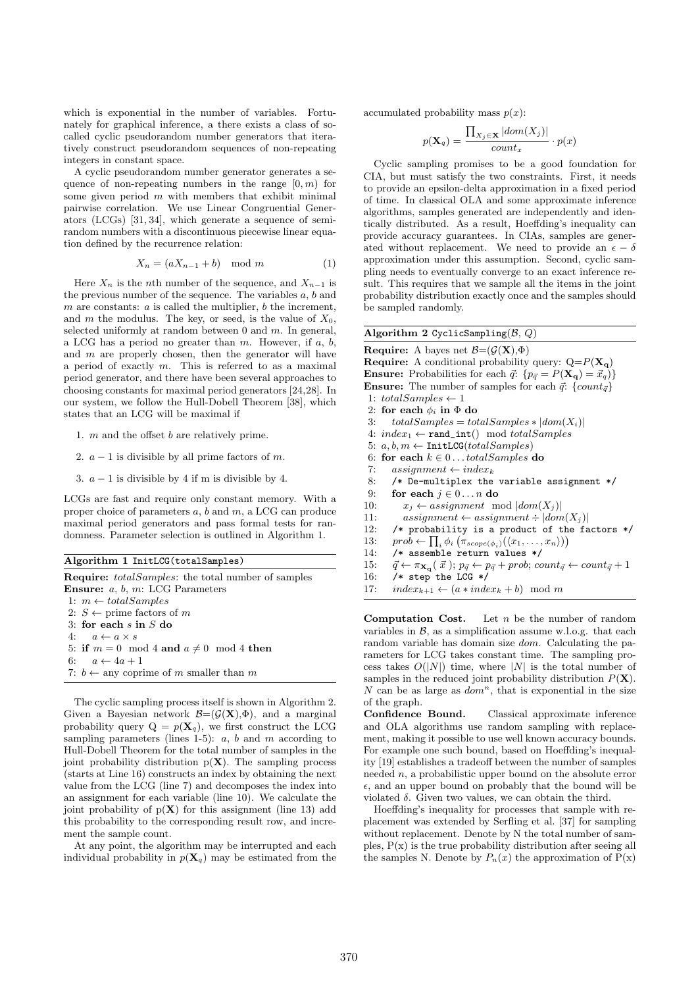which is exponential in the number of variables. Fortunately for graphical inference, a there exists a class of socalled cyclic pseudorandom number generators that iteratively construct pseudorandom sequences of non-repeating integers in constant space.

A cyclic pseudorandom number generator generates a sequence of non-repeating numbers in the range  $[0, m)$  for some given period  $m$  with members that exhibit minimal pairwise correlation. We use Linear Congruential Generators (LCGs) [31, 34], which generate a sequence of semirandom numbers with a discontinuous piecewise linear equation defined by the recurrence relation:

$$
X_n = (aX_{n-1} + b) \mod m \tag{1}
$$

Here  $X_n$  is the nth number of the sequence, and  $X_{n-1}$  is the previous number of the sequence. The variables  $a, b$  and  $m$  are constants:  $a$  is called the multiplier,  $b$  the increment, and m the modulus. The key, or seed, is the value of  $X_0$ , selected uniformly at random between 0 and  $m$ . In general, a LCG has a period no greater than  $m$ . However, if  $a, b$ , and  $m$  are properly chosen, then the generator will have a period of exactly m. This is referred to as a maximal period generator, and there have been several approaches to choosing constants for maximal period generators [24,28]. In our system, we follow the Hull-Dobell Theorem [38], which states that an LCG will be maximal if

- 1. m and the offset b are relatively prime.
- 2.  $a 1$  is divisible by all prime factors of m.
- 3.  $a 1$  is divisible by 4 if m is divisible by 4.

LCGs are fast and require only constant memory. With a proper choice of parameters a, b and m, a LCG can produce maximal period generators and pass formal tests for randomness. Parameter selection is outlined in Algorithm 1.

|  |  |  | Algorithm 1 InitLCG (totalSamples) |  |
|--|--|--|------------------------------------|--|
|--|--|--|------------------------------------|--|

| <b>Require:</b> totalSamples: the total number of samples<br><b>Ensure:</b> $a, b, m: LCG Parameters$ |
|-------------------------------------------------------------------------------------------------------|
| 1: $m \leftarrow total Samples$                                                                       |
| 2: $S \leftarrow$ prime factors of m                                                                  |
| 3: for each $s$ in $S$ do                                                                             |
| 4: $a \leftarrow a \times s$                                                                          |
| 5: if $m = 0 \mod 4$ and $a \neq 0 \mod 4$ then                                                       |
| 6: $a \leftarrow 4a + 1$                                                                              |
| 7: $b \leftarrow$ any coprime of m smaller than m                                                     |
|                                                                                                       |

The cyclic sampling process itself is shown in Algorithm 2. Given a Bayesian network  $\mathcal{B}=(\mathcal{G}(\mathbf{X}),\Phi)$ , and a marginal probability query  $Q = p(\mathbf{X}_q)$ , we first construct the LCG sampling parameters (lines 1-5):  $a, b$  and  $m$  according to Hull-Dobell Theorem for the total number of samples in the joint probability distribution  $p(X)$ . The sampling process (starts at Line 16) constructs an index by obtaining the next value from the LCG (line 7) and decomposes the index into an assignment for each variable (line 10). We calculate the joint probability of  $p(X)$  for this assignment (line 13) add this probability to the corresponding result row, and increment the sample count.

At any point, the algorithm may be interrupted and each individual probability in  $p(\mathbf{X}_q)$  may be estimated from the accumulated probability mass  $p(x)$ :

$$
p(\mathbf{X}_q) = \frac{\prod_{X_j \in \mathbf{X}} |dom(X_j)|}{count_x} \cdot p(x)
$$

Cyclic sampling promises to be a good foundation for CIA, but must satisfy the two constraints. First, it needs to provide an epsilon-delta approximation in a fixed period of time. In classical OLA and some approximate inference algorithms, samples generated are independently and identically distributed. As a result, Hoeffding's inequality can provide accuracy guarantees. In CIAs, samples are generated without replacement. We need to provide an  $\epsilon - \delta$ approximation under this assumption. Second, cyclic sampling needs to eventually converge to an exact inference result. This requires that we sample all the items in the joint probability distribution exactly once and the samples should be sampled randomly.

# Algorithm 2 CyclicSampling( $\beta$ ,  $Q$ )

Require: A bayes net  $\mathcal{B} = (\mathcal{G}(\mathbf{X}), \Phi)$ **Require:** A conditional probability query:  $Q = P(\mathbf{X_q})$ **Ensure:** Probabilities for each  $\vec{q}$ :  $\{p_{\vec{q}} = P(\mathbf{X_q}) = \vec{x_q}\}\$ **Ensure:** The number of samples for each  $\vec{q}$ : {count<sub> $\vec{q}$ </sub>} 1:  $total Samples \leftarrow 1$ 2: for each  $\phi_i$  in  $\Phi$  do 3:  $total Samples = total Samples * |dom(X_i)|$ 4:  $index_1 \leftarrow \text{rand\_int}() \mod total Samples$ 5:  $a, b, m \leftarrow \text{InitLCG}(total Samples)$ 6: for each  $k \in 0 \dots$  total Samples do 7: assignment  $\leftarrow$  index<sub>k</sub> 8: /\* De-multiplex the variable assignment \*/ 9: for each  $j \in 0 \dots n$  do 10:  $x_j \leftarrow assignment \mod |dom(X_j)|$ <br>11: assignment  $\leftarrow assignment \div |dom(X_j)|$  $assignment \leftarrow assignment \div |dom(X_i)|$ 12: /\* probability is a product of the factors \*/ 13:  $prob \leftarrow \prod_i \phi_i \left( \pi_{scope(\phi_i)}(\langle x_1, \ldots, x_n \rangle) \right)$ 14: /\* assemble return values \*/ 15:  $\vec{q} \leftarrow \pi_{\mathbf{X_q}}(\vec{x}); p_{\vec{q}} \leftarrow p_{\vec{q}} + prob; count_{\vec{q}} \leftarrow count_{\vec{q}} + 1$ 16: /\* step the LCG \*/ 17:  $index_{k+1} \leftarrow (a * index_k + b) \mod m$ 

**Computation Cost.** Let  $n$  be the number of random variables in  $\beta$ , as a simplification assume w.l.o.g. that each random variable has domain size dom. Calculating the parameters for LCG takes constant time. The sampling process takes  $O(|N|)$  time, where |N| is the total number of samples in the reduced joint probability distribution  $P(X)$ . N can be as large as  $dom<sup>n</sup>$ , that is exponential in the size of the graph.

Confidence Bound. Classical approximate inference and OLA algorithms use random sampling with replacement, making it possible to use well known accuracy bounds. For example one such bound, based on Hoeffding's inequality [19] establishes a tradeoff between the number of samples needed  $n$ , a probabilistic upper bound on the absolute error  $\epsilon$ , and an upper bound on probably that the bound will be violated δ. Given two values, we can obtain the third.

Hoeffding's inequality for processes that sample with replacement was extended by Serfling et al. [37] for sampling without replacement. Denote by N the total number of samples,  $P(x)$  is the true probability distribution after seeing all the samples N. Denote by  $P_n(x)$  the approximation of  $P(x)$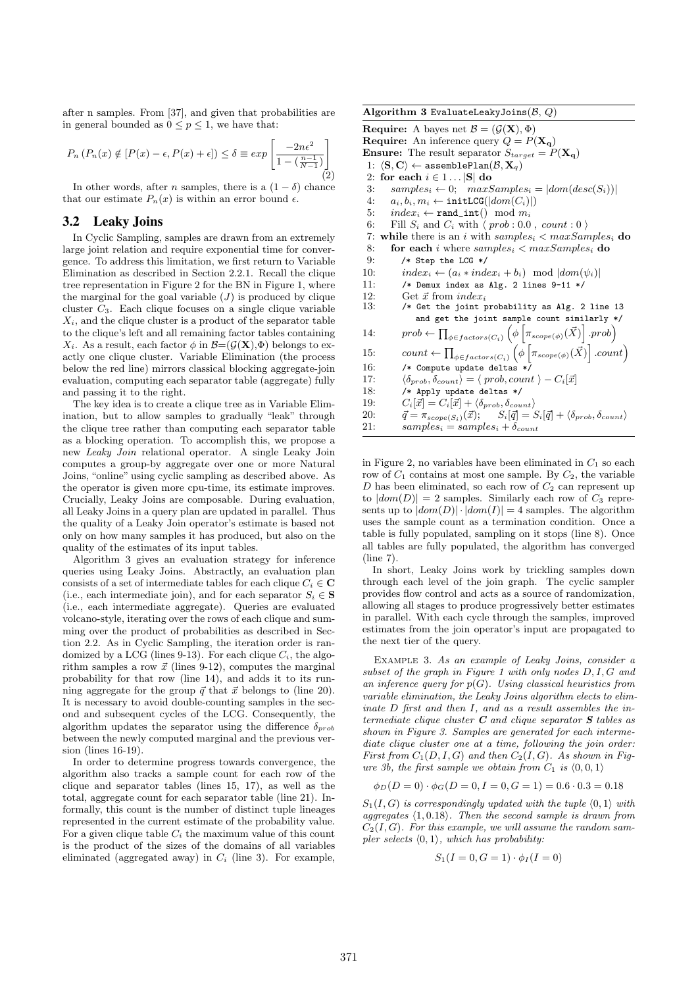after n samples. From [37], and given that probabilities are in general bounded as  $0 \le p \le 1$ , we have that:

$$
P_n(P_n(x) \notin [P(x) - \epsilon, P(x) + \epsilon]) \le \delta \equiv \exp\left[\frac{-2n\epsilon^2}{1 - (\frac{n-1}{N-1})}\right]
$$
\n(2)

In other words, after *n* samples, there is a  $(1 - \delta)$  chance that our estimate  $P_n(x)$  is within an error bound  $\epsilon$ .

#### 3.2 Leaky Joins

In Cyclic Sampling, samples are drawn from an extremely large joint relation and require exponential time for convergence. To address this limitation, we first return to Variable Elimination as described in Section 2.2.1. Recall the clique tree representation in Figure 2 for the BN in Figure 1, where the marginal for the goal variable  $(J)$  is produced by clique cluster  $C_3$ . Each clique focuses on a single clique variable  $X_i$ , and the clique cluster is a product of the separator table to the clique's left and all remaining factor tables containing  $X_i$ . As a result, each factor  $\phi$  in  $\mathcal{B}=(\mathcal{G}(\mathbf{X}),\Phi)$  belongs to exactly one clique cluster. Variable Elimination (the process below the red line) mirrors classical blocking aggregate-join evaluation, computing each separator table (aggregate) fully and passing it to the right.

The key idea is to create a clique tree as in Variable Elimination, but to allow samples to gradually "leak" through the clique tree rather than computing each separator table as a blocking operation. To accomplish this, we propose a new Leaky Join relational operator. A single Leaky Join computes a group-by aggregate over one or more Natural Joins, "online" using cyclic sampling as described above. As the operator is given more cpu-time, its estimate improves. Crucially, Leaky Joins are composable. During evaluation, all Leaky Joins in a query plan are updated in parallel. Thus the quality of a Leaky Join operator's estimate is based not only on how many samples it has produced, but also on the quality of the estimates of its input tables.

Algorithm 3 gives an evaluation strategy for inference queries using Leaky Joins. Abstractly, an evaluation plan consists of a set of intermediate tables for each clique  $C_i \in \mathbb{C}$ (i.e., each intermediate join), and for each separator  $S_i \in \mathbf{S}$ (i.e., each intermediate aggregate). Queries are evaluated volcano-style, iterating over the rows of each clique and summing over the product of probabilities as described in Section 2.2. As in Cyclic Sampling, the iteration order is randomized by a LCG (lines 9-13). For each clique  $C_i$ , the algorithm samples a row  $\vec{x}$  (lines 9-12), computes the marginal probability for that row (line 14), and adds it to its running aggregate for the group  $\vec{q}$  that  $\vec{x}$  belongs to (line 20). It is necessary to avoid double-counting samples in the second and subsequent cycles of the LCG. Consequently, the algorithm updates the separator using the difference  $\delta_{prob}$ between the newly computed marginal and the previous version (lines 16-19).

In order to determine progress towards convergence, the algorithm also tracks a sample count for each row of the clique and separator tables (lines 15, 17), as well as the total, aggregate count for each separator table (line 21). Informally, this count is the number of distinct tuple lineages represented in the current estimate of the probability value. For a given clique table  $C_i$  the maximum value of this count is the product of the sizes of the domains of all variables eliminated (aggregated away) in  $C_i$  (line 3). For example,

**Require:** A bayes net  $\mathcal{B} = (\mathcal{G}(\mathbf{X}), \Phi)$ **Require:** An inference query  $Q = P(\mathbf{X_q})$ **Ensure:** The result separator  $S_{target} = P(\mathbf{X_q})$ 1:  $\langle \mathbf{S}, \mathbf{C} \rangle \leftarrow \texttt{assemblePlan}(\mathcal{B}, \mathbf{X}_q)$ 2: for each  $i \in 1 \dots |S|$  do 3:  $samples_i \leftarrow 0; maxSamples_i = |dom(desc(S_i))|$ <br>4:  $a_i, b_i, m_i \leftarrow initLG(|dom(C_i)|)$  $a_i, b_i, m_i \leftarrow \text{initLCG}(\vert dom(C_i) \vert)$ 5:  $index_i \leftarrow \text{rand\_int}() \mod m_i$ 6: Fill  $S_i$  and  $C_i$  with  $\langle prob : 0.0 , count : 0 \rangle$ <br>7: while there is an *i* with samples<sub>i</sub>  $\langle maxSan$ while there is an i with  $samples_i < maxSamples_i$  do 8: **for each** *i* where  $samples_i < maxSamples_i$  **do** 9: /\* Step the LCG \*/ 10:  $index_i \leftarrow (a_i * index_i + b_i) \mod |dom(\psi_i)|$ <br>11:  $\leftarrow$  Nemux index as also 2 lines 9-11 \*/  $/*$  Demux index as Alg. 2 lines 9-11 \*/ 12: Get  $\vec{x}$  from index<sub>i</sub><br>13:  $\sqrt{*}$  Get the joint is 13: /\* Get the joint probability as Alg. 2 line 13 and get the joint sample count similarly \*/ 14:  $prob \leftarrow \prod_{\phi \in factors(C_i)} \left( \phi \left[ \pi_{scope(\phi)}(\vec{X}) \right], prob \right)$ 15:  $count \leftarrow \prod_{\phi \in factors(C_i)} (\phi \left[ \pi_{scope(\phi)}(\vec{X}) \right].count)$ 16: /\* Compute update deltas \*/<br>17:  $\langle \delta_{prob}, \delta_{count} \rangle = \langle prob, count \rangle$  $\langle \delta_{prob}, \delta_{count} \rangle = \langle prob, count \rangle - C_i[\vec{x}]$ 18: /\* Apply update deltas \*/ 19:  $C_i[\vec{x}] = C_i[\vec{x}] + \langle \delta_{prob}, \delta_{count} \rangle$ <br>20:  $\vec{q} = \pi_{score(S_i)}(\vec{x});$   $S_i[\vec{q}] = \xi$ 20:  $\vec{q} = \pi_{scope(S_i)}(\vec{x});$   $S_i[\vec{q}] = S_i[\vec{q}] + \langle \delta_{prob}, \delta_{count} \rangle$ <br>21: samples:  $=$  samples:  $+ \delta_{count}$  $samples_i = samples_i + \delta_{count}$ 

in Figure 2, no variables have been eliminated in  $C_1$  so each row of  $C_1$  contains at most one sample. By  $C_2$ , the variable D has been eliminated, so each row of  $C_2$  can represent up to  $|dom(D)| = 2$  samples. Similarly each row of  $C_3$  represents up to  $|dom(D)| \cdot |dom(I)| = 4$  samples. The algorithm uses the sample count as a termination condition. Once a table is fully populated, sampling on it stops (line 8). Once all tables are fully populated, the algorithm has converged (line 7).

In short, Leaky Joins work by trickling samples down through each level of the join graph. The cyclic sampler provides flow control and acts as a source of randomization, allowing all stages to produce progressively better estimates in parallel. With each cycle through the samples, improved estimates from the join operator's input are propagated to the next tier of the query.

Example 3. As an example of Leaky Joins, consider a subset of the graph in Figure 1 with only nodes D, I, G and an inference query for  $p(G)$ . Using classical heuristics from variable elimination, the Leaky Joins algorithm elects to eliminate D first and then I, and as a result assembles the intermediate clique cluster  $C$  and clique separator  $S$  tables as shown in Figure 3. Samples are generated for each intermediate clique cluster one at a time, following the join order: First from  $C_1(D, I, G)$  and then  $C_2(I, G)$ . As shown in Figure 3b, the first sample we obtain from  $C_1$  is  $\langle 0, 0, 1 \rangle$ 

$$
\phi_D(D=0) \cdot \phi_G(D=0, I=0, G=1) = 0.6 \cdot 0.3 = 0.18
$$

 $S_1(I, G)$  is correspondingly updated with the tuple  $\langle 0, 1 \rangle$  with aggregates  $\langle 1, 0.18 \rangle$ . Then the second sample is drawn from  $C_2(I, G)$ . For this example, we will assume the random sampler selects  $(0, 1)$ , which has probability:

$$
S_1(I = 0, G = 1) \cdot \phi_I(I = 0)
$$

Algorithm 3 EvaluateLeakyJoins
$$
(\mathcal{B}, Q)
$$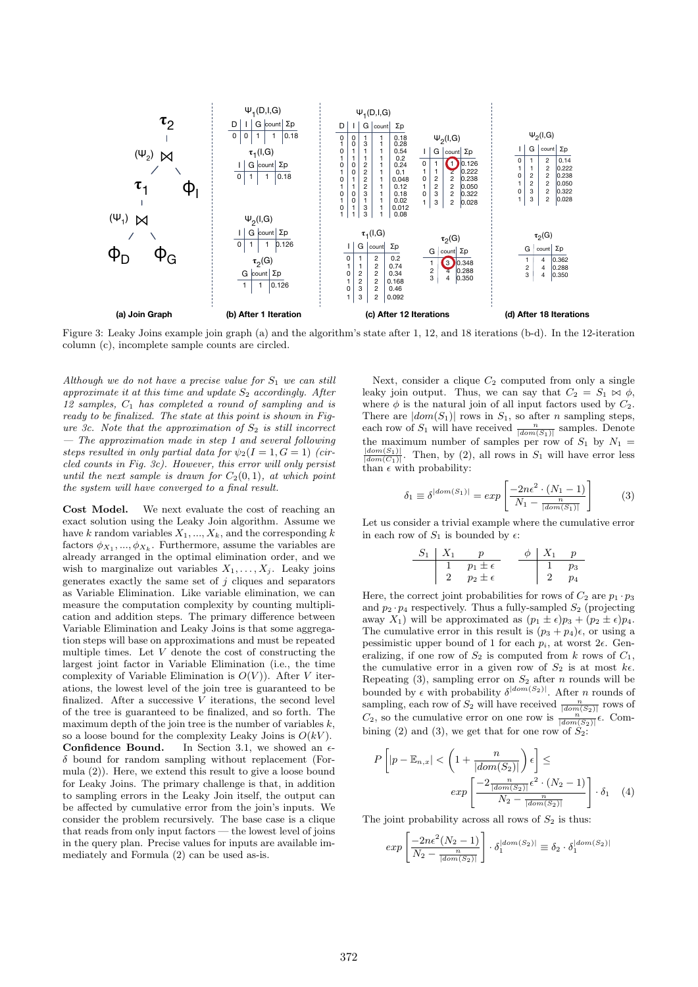

Figure 3: Leaky Joins example join graph (a) and the algorithm's state after 1, 12, and 18 iterations (b-d). In the 12-iteration column (c), incomplete sample counts are circled.

Although we do not have a precise value for  $S_1$  we can still approximate it at this time and update  $S_2$  accordingly. After  $12$  samples,  $C_1$  has completed a round of sampling and is ready to be finalized. The state at this point is shown in Figure 3c. Note that the approximation of  $S_2$  is still incorrect — The approximation made in step 1 and several following steps resulted in only partial data for  $\psi_2(I = 1, G = 1)$  (circled counts in Fig. 3c). However, this error will only persist until the next sample is drawn for  $C_2(0,1)$ , at which point the system will have converged to a final result.

Cost Model. We next evaluate the cost of reaching an exact solution using the Leaky Join algorithm. Assume we have k random variables  $X_1, ..., X_k$ , and the corresponding k factors  $\phi_{X_1}, ..., \phi_{X_k}$ . Furthermore, assume the variables are already arranged in the optimal elimination order, and we wish to marginalize out variables  $X_1, \ldots, X_j$ . Leaky joins generates exactly the same set of  $j$  cliques and separators as Variable Elimination. Like variable elimination, we can measure the computation complexity by counting multiplication and addition steps. The primary difference between Variable Elimination and Leaky Joins is that some aggregation steps will base on approximations and must be repeated multiple times. Let  $V$  denote the cost of constructing the largest joint factor in Variable Elimination (i.e., the time complexity of Variable Elimination is  $O(V)$ ). After V iterations, the lowest level of the join tree is guaranteed to be finalized. After a successive  $V$  iterations, the second level of the tree is guaranteed to be finalized, and so forth. The maximum depth of the join tree is the number of variables  $k$ , so a loose bound for the complexity Leaky Joins is  $O(kV)$ . **Confidence Bound.** In Section 3.1, we showed an  $\epsilon$ - $\delta$  bound for random sampling without replacement (Formula (2)). Here, we extend this result to give a loose bound for Leaky Joins. The primary challenge is that, in addition to sampling errors in the Leaky Join itself, the output can be affected by cumulative error from the join's inputs. We consider the problem recursively. The base case is a clique that reads from only input factors — the lowest level of joins in the query plan. Precise values for inputs are available immediately and Formula (2) can be used as-is.

Next, consider a clique  $C_2$  computed from only a single leaky join output. Thus, we can say that  $C_2 = S_1 \bowtie \phi$ , where  $\phi$  is the natural join of all input factors used by  $C_2$ . There are  $|dom(S_1)|$  rows in  $S_1$ , so after *n* sampling steps, each row of  $S_1$  will have received  $\frac{n}{|dom(S_1)|}$  samples. Denote the maximum number of samples per row of  $S_1$  by  $N_1$  =  $\frac{|dom(S_1)|}{|dom(C_1)|}$ . Then, by (2), all rows in  $S_1$  will have error less than  $\epsilon$  with probability:

$$
\delta_1 \equiv \delta^{|dom(S_1)|} = exp\left[\frac{-2n\epsilon^2 \cdot (N_1 - 1)}{N_1 - \frac{n}{|dom(S_1)|}}\right] \tag{3}
$$

Let us consider a trivial example where the cumulative error in each row of  $S_1$  is bounded by  $\epsilon$ :

$$
\begin{array}{c|cc}\nS_1 & X_1 & p \\
\hline\n1 & p_1 \pm \epsilon & & 1 & p_3 \\
2 & p_2 \pm \epsilon & & 2 & p_4\n\end{array}
$$

Here, the correct joint probabilities for rows of  $C_2$  are  $p_1 \cdot p_3$ and  $p_2 \cdot p_4$  respectively. Thus a fully-sampled  $S_2$  (projecting away  $X_1$ ) will be approximated as  $(p_1 \pm \epsilon)p_3 + (p_2 \pm \epsilon)p_4$ . The cumulative error in this result is  $(p_3 + p_4)\epsilon$ , or using a pessimistic upper bound of 1 for each  $p_i$ , at worst  $2\epsilon$ . Generalizing, if one row of  $S_2$  is computed from k rows of  $C_1$ , the cumulative error in a given row of  $S_2$  is at most  $k\epsilon$ . Repeating (3), sampling error on  $S_2$  after n rounds will be bounded by  $\epsilon$  with probability  $\delta^{|dom(S_2)|}$ . After *n* rounds of sampling, each row of  $S_2$  will have received  $\frac{n}{|dom(S_2)|}$  rows of  $C_2$ , so the cumulative error on one row is  $\frac{n}{|dom(S_2)|}\epsilon$ . Combining (2) and (3), we get that for one row of  $S_2$ :

$$
P\left[|p - \mathbb{E}_{n,x}| < \left(1 + \frac{n}{|dom(S_2)|}\right)\epsilon\right] \le
$$

$$
exp\left[\frac{-2\frac{n}{|dom(S_2)|}\epsilon^2 \cdot (N_2 - 1)}{N_2 - \frac{n}{|dom(S_2)|}}\right] \cdot \delta_1 \quad (4)
$$

The joint probability across all rows of  $S_2$  is thus:

$$
exp\left[\frac{-2n\epsilon^2(N_2-1)}{N_2 - \frac{n}{|dom(S_2)|}}\right] \cdot \delta_1^{|dom(S_2)|} \equiv \delta_2 \cdot \delta_1^{|dom(S_2)|}
$$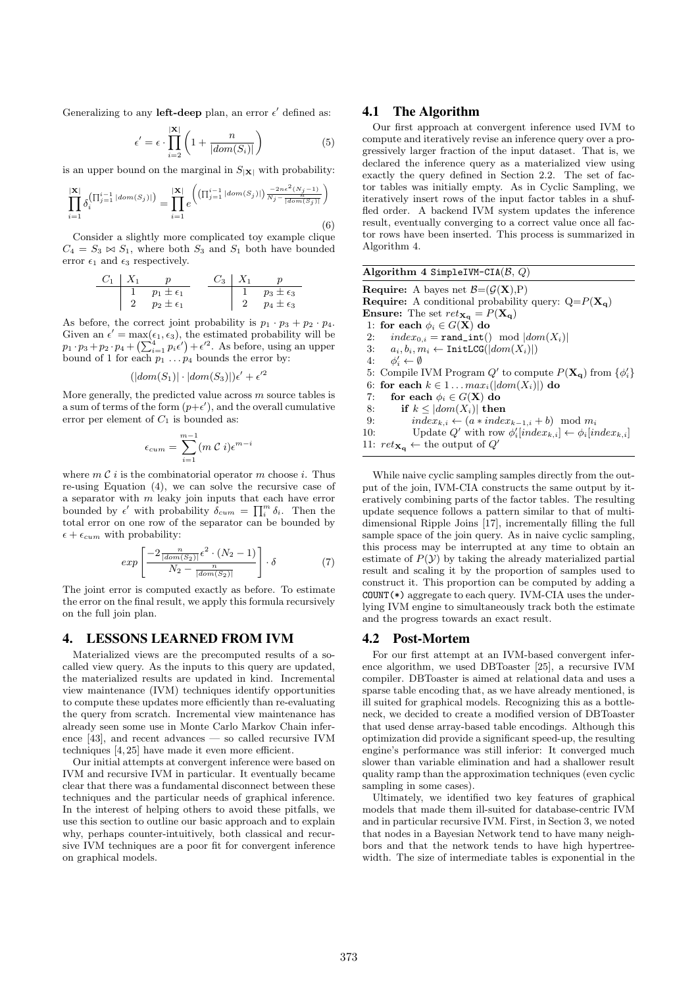Generalizing to any left-deep plan, an error  $\epsilon'$  defined as:

$$
\epsilon' = \epsilon \cdot \prod_{i=2}^{|X|} \left( 1 + \frac{n}{|dom(S_i)|} \right) \tag{5}
$$

is an upper bound on the marginal in  $S_{|\mathbf{X}|}$  with probability:

$$
\prod_{i=1}^{|\mathbf{X}|} \delta_i^{\left(\prod_{j=1}^{i-1} |dom(S_j)|\right)} = \prod_{i=1}^{|\mathbf{X}|} e^{\left(\left(\prod_{j=1}^{i-1} |dom(S_j)|\right) \frac{-2n\epsilon^2 (N_j - 1)}{N_j - \frac{n\epsilon^2 (N_j - 1)}{|dom(S_j)|}}\right)}
$$
(6)

Consider a slightly more complicated toy example clique  $C_4 = S_3 \bowtie S_1$ , where both  $S_3$  and  $S_1$  both have bounded error  $\epsilon_1$  and  $\epsilon_3$  respectively.

| $C_1$ | $X_1$                | $p$   | $C_3$                | $X_1$ | $p$ |
|-------|----------------------|-------|----------------------|-------|-----|
| 1     | $p_1 \pm \epsilon_1$ | $C_3$ | $X_1$                | $p$   |     |
| 2     | $p_2 \pm \epsilon_1$ | $2$   | $p_4 \pm \epsilon_3$ |       |     |

As before, the correct joint probability is  $p_1 \cdot p_3 + p_2 \cdot p_4$ . Given an  $\epsilon' = \max(\epsilon_1, \epsilon_3)$ , the estimated probability will be  $p_1 \cdot p_3 + p_2 \cdot p_4 + \left(\sum_{i=1}^4 p_i \epsilon'\right) + \epsilon'^2$ . As before, using an upper bound of 1 for each  $p_1 \ldots p_4$  bounds the error by:

$$
(|dom(S_1)| \cdot |dom(S_3)|)\epsilon' + \epsilon'^2
$$

More generally, the predicted value across  $m$  source tables is a sum of terms of the form  $(p+\epsilon')$ , and the overall cumulative error per element of  $C_1$  is bounded as:

$$
\epsilon_{cum} = \sum_{i=1}^{m-1} (m \ C \ i) \epsilon^{m-i}
$$

where  $m \mathcal{C} i$  is the combinatorial operator m choose i. Thus re-using Equation (4), we can solve the recursive case of a separator with  $m$  leaky join inputs that each have error bounded by  $\epsilon'$  with probability  $\delta_{cum} = \prod_i^m \delta_i$ . Then the total error on one row of the separator can be bounded by  $\epsilon + \epsilon_{cum}$  with probability:

$$
exp\left[\frac{-2\frac{n}{|dom(S_2)|}\epsilon^2 \cdot (N_2-1)}{N_2 - \frac{n}{|dom(S_2)|}}\right] \cdot \delta \tag{7}
$$

The joint error is computed exactly as before. To estimate the error on the final result, we apply this formula recursively on the full join plan.

# 4. LESSONS LEARNED FROM IVM

Materialized views are the precomputed results of a socalled view query. As the inputs to this query are updated, the materialized results are updated in kind. Incremental view maintenance (IVM) techniques identify opportunities to compute these updates more efficiently than re-evaluating the query from scratch. Incremental view maintenance has already seen some use in Monte Carlo Markov Chain inference [43], and recent advances — so called recursive IVM techniques [4, 25] have made it even more efficient.

Our initial attempts at convergent inference were based on IVM and recursive IVM in particular. It eventually became clear that there was a fundamental disconnect between these techniques and the particular needs of graphical inference. In the interest of helping others to avoid these pitfalls, we use this section to outline our basic approach and to explain why, perhaps counter-intuitively, both classical and recursive IVM techniques are a poor fit for convergent inference on graphical models.

# 4.1 The Algorithm

Our first approach at convergent inference used IVM to compute and iteratively revise an inference query over a progressively larger fraction of the input dataset. That is, we declared the inference query as a materialized view using exactly the query defined in Section 2.2. The set of factor tables was initially empty. As in Cyclic Sampling, we iteratively insert rows of the input factor tables in a shuffled order. A backend IVM system updates the inference result, eventually converging to a correct value once all factor rows have been inserted. This process is summarized in Algorithm 4.

| Algorithm 4 SimpleIVM-CIA( $\beta$ , $Q$ )                                                              |
|---------------------------------------------------------------------------------------------------------|
| <b>Require:</b> A bayes net $\mathcal{B} = (\mathcal{G}(\mathbf{X}), P)$                                |
| <b>Require:</b> A conditional probability query: $Q = P(\mathbf{X_q})$                                  |
| <b>Ensure:</b> The set $ret_{\mathbf{X_q}} = P(\mathbf{X_q})$                                           |
| 1: for each $\phi_i \in G(\mathbf{X})$ do                                                               |
| $index_{0,i} = \texttt{rand\_int}() \mod  dom(X_i) $<br>2:                                              |
| 3: $a_i, b_i, m_i \leftarrow \text{InitLCG}( dom(X_i) )$                                                |
| 4: $\phi_i' \leftarrow \emptyset$                                                                       |
| 5: Compile IVM Program Q' to compute $P(\mathbf{X}_{q})$ from $\{\phi_i\}$                              |
| 6: for each $k \in 1 \dots max_i ( \text{dom}(X_i) )$ do                                                |
| for each $\phi_i \in G(X)$ do<br>7:                                                                     |
| if $k \leq  dom(X_i) $ then<br>8:                                                                       |
| $index_{k,i} \leftarrow (a * index_{k-1,i} + b) \mod m_i$<br>9:                                         |
| Update Q' with row $\phi'_i$ [index <sub>k,i</sub> ] $\leftarrow \phi_i$ [index <sub>k,i</sub> ]<br>10: |
| 11: $ret_{\mathbf{X}_{\alpha}} \leftarrow$ the output of $Q'$                                           |
|                                                                                                         |

While naive cyclic sampling samples directly from the output of the join, IVM-CIA constructs the same output by iteratively combining parts of the factor tables. The resulting update sequence follows a pattern similar to that of multidimensional Ripple Joins [17], incrementally filling the full sample space of the join query. As in naive cyclic sampling, this process may be interrupted at any time to obtain an estimate of  $P(Y)$  by taking the already materialized partial result and scaling it by the proportion of samples used to construct it. This proportion can be computed by adding a COUNT(\*) aggregate to each query. IVM-CIA uses the underlying IVM engine to simultaneously track both the estimate and the progress towards an exact result.

#### 4.2 Post-Mortem

For our first attempt at an IVM-based convergent inference algorithm, we used DBToaster [25], a recursive IVM compiler. DBToaster is aimed at relational data and uses a sparse table encoding that, as we have already mentioned, is ill suited for graphical models. Recognizing this as a bottleneck, we decided to create a modified version of DBToaster that used dense array-based table encodings. Although this optimization did provide a significant speed-up, the resulting engine's performance was still inferior: It converged much slower than variable elimination and had a shallower result quality ramp than the approximation techniques (even cyclic sampling in some cases).

Ultimately, we identified two key features of graphical models that made them ill-suited for database-centric IVM and in particular recursive IVM. First, in Section 3, we noted that nodes in a Bayesian Network tend to have many neighbors and that the network tends to have high hypertreewidth. The size of intermediate tables is exponential in the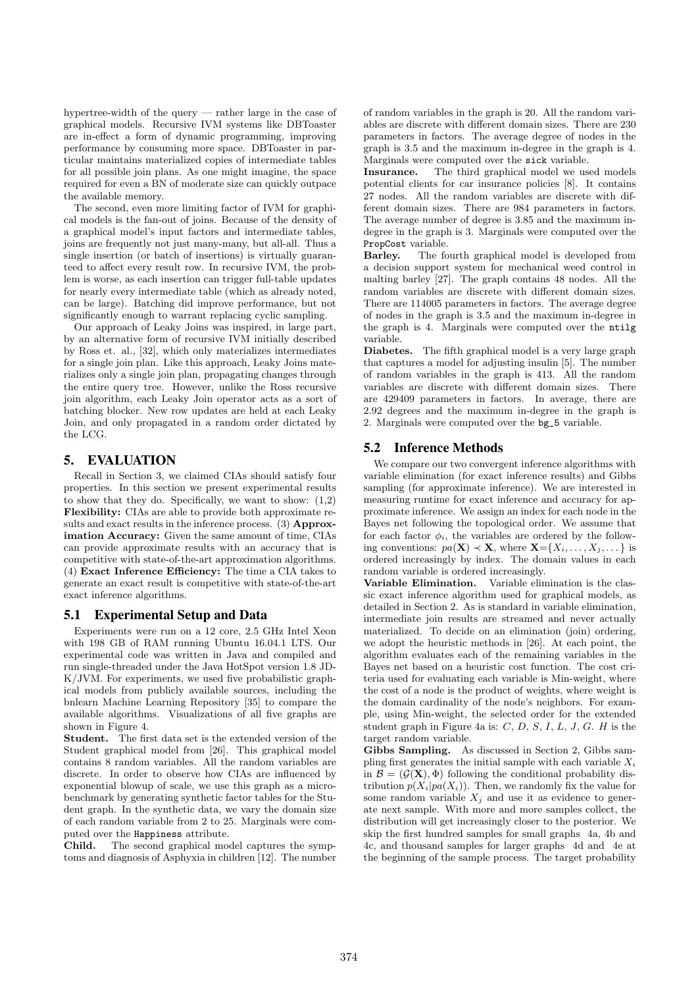hypertree-width of the query — rather large in the case of graphical models. Recursive IVM systems like DBToaster are in-effect a form of dynamic programming, improving performance by consuming more space. DBToaster in particular maintains materialized copies of intermediate tables for all possible join plans. As one might imagine, the space required for even a BN of moderate size can quickly outpace the available memory.

The second, even more limiting factor of IVM for graphical models is the fan-out of joins. Because of the density of a graphical model's input factors and intermediate tables, joins are frequently not just many-many, but all-all. Thus a single insertion (or batch of insertions) is virtually guaranteed to affect every result row. In recursive IVM, the problem is worse, as each insertion can trigger full-table updates for nearly every intermediate table (which as already noted, can be large). Batching did improve performance, but not significantly enough to warrant replacing cyclic sampling.

Our approach of Leaky Joins was inspired, in large part, by an alternative form of recursive IVM initially described by Ross et. al., [32], which only materializes intermediates for a single join plan. Like this approach, Leaky Joins materializes only a single join plan, propagating changes through the entire query tree. However, unlike the Ross recursive join algorithm, each Leaky Join operator acts as a sort of batching blocker. New row updates are held at each Leaky Join, and only propagated in a random order dictated by the LCG.

# 5. EVALUATION

Recall in Section 3, we claimed CIAs should satisfy four properties. In this section we present experimental results to show that they do. Specifically, we want to show: (1,2) Flexibility: CIAs are able to provide both approximate results and exact results in the inference process. (3) Approximation Accuracy: Given the same amount of time, CIAs can provide approximate results with an accuracy that is competitive with state-of-the-art approximation algorithms. (4) Exact Inference Efficiency: The time a CIA takes to generate an exact result is competitive with state-of-the-art exact inference algorithms.

# 5.1 Experimental Setup and Data

Experiments were run on a 12 core, 2.5 GHz Intel Xeon with 198 GB of RAM running Ubuntu 16.04.1 LTS. Our experimental code was written in Java and compiled and run single-threaded under the Java HotSpot version 1.8 JD-K/JVM. For experiments, we used five probabilistic graphical models from publicly available sources, including the bnlearn Machine Learning Repository [35] to compare the available algorithms. Visualizations of all five graphs are shown in Figure 4.

Student. The first data set is the extended version of the Student graphical model from [26]. This graphical model contains 8 random variables. All the random variables are discrete. In order to observe how CIAs are influenced by exponential blowup of scale, we use this graph as a microbenchmark by generating synthetic factor tables for the Student graph. In the synthetic data, we vary the domain size of each random variable from 2 to 25. Marginals were computed over the Happiness attribute.

Child. The second graphical model captures the symptoms and diagnosis of Asphyxia in children [12]. The number of random variables in the graph is 20. All the random variables are discrete with different domain sizes. There are 230 parameters in factors. The average degree of nodes in the graph is 3.5 and the maximum in-degree in the graph is 4. Marginals were computed over the sick variable.

Insurance. The third graphical model we used models potential clients for car insurance policies [8]. It contains 27 nodes. All the random variables are discrete with different domain sizes. There are 984 parameters in factors. The average number of degree is 3.85 and the maximum indegree in the graph is 3. Marginals were computed over the PropCost variable.

Barley. The fourth graphical model is developed from a decision support system for mechanical weed control in malting barley [27]. The graph contains 48 nodes. All the random variables are discrete with different domain sizes. There are 114005 parameters in factors. The average degree of nodes in the graph is 3.5 and the maximum in-degree in the graph is 4. Marginals were computed over the ntilg variable.

Diabetes. The fifth graphical model is a very large graph that captures a model for adjusting insulin [5]. The number of random variables in the graph is 413. All the random variables are discrete with different domain sizes. There are 429409 parameters in factors. In average, there are 2.92 degrees and the maximum in-degree in the graph is 2. Marginals were computed over the bg\_5 variable.

# 5.2 Inference Methods

We compare our two convergent inference algorithms with variable elimination (for exact inference results) and Gibbs sampling (for approximate inference). We are interested in measuring runtime for exact inference and accuracy for approximate inference. We assign an index for each node in the Bayes net following the topological order. We assume that for each factor  $\phi_i$ , the variables are ordered by the following conventions:  $pa(\mathbf{X}) \prec \mathbf{X}$ , where  $\mathbf{X} = \{X_1, \ldots, X_j, \ldots\}$  is ordered increasingly by index. The domain values in each random variable is ordered increasingly.

Variable Elimination. Variable elimination is the classic exact inference algorithm used for graphical models, as detailed in Section 2. As is standard in variable elimination, intermediate join results are streamed and never actually materialized. To decide on an elimination (join) ordering, we adopt the heuristic methods in [26]. At each point, the algorithm evaluates each of the remaining variables in the Bayes net based on a heuristic cost function. The cost criteria used for evaluating each variable is Min-weight, where the cost of a node is the product of weights, where weight is the domain cardinality of the node's neighbors. For example, using Min-weight, the selected order for the extended student graph in Figure 4a is:  $C, D, S, I, L, J, G$ . H is the target random variable.

Gibbs Sampling. As discussed in Section 2, Gibbs sampling first generates the initial sample with each variable  $X_i$ in  $\mathcal{B} = (\mathcal{G}(\mathbf{X}), \Phi)$  following the conditional probability distribution  $p(X_i|pa(X_i))$ . Then, we randomly fix the value for some random variable  $X_j$  and use it as evidence to generate next sample. With more and more samples collect, the distribution will get increasingly closer to the posterior. We skip the first hundred samples for small graphs 4a, 4b and 4c, and thousand samples for larger graphs 4d and 4e at the beginning of the sample process. The target probability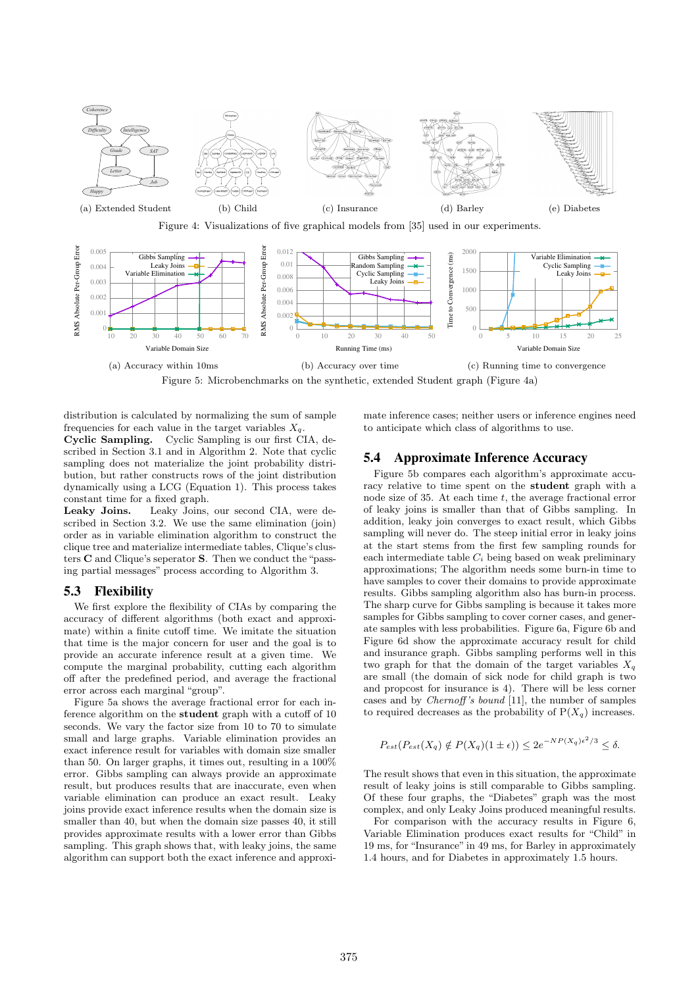

Figure 4: Visualizations of five graphical models from [35] used in our experiments.



Figure 5: Microbenchmarks on the synthetic, extended Student graph (Figure 4a)

distribution is calculated by normalizing the sum of sample frequencies for each value in the target variables  $X_q$ .

Cyclic Sampling. Cyclic Sampling is our first CIA, described in Section 3.1 and in Algorithm 2. Note that cyclic sampling does not materialize the joint probability distribution, but rather constructs rows of the joint distribution dynamically using a LCG (Equation 1). This process takes constant time for a fixed graph.

Leaky Joins. Leaky Joins, our second CIA, were described in Section 3.2. We use the same elimination (join) order as in variable elimination algorithm to construct the clique tree and materialize intermediate tables, Clique's clusters C and Clique's seperator S. Then we conduct the "passing partial messages" process according to Algorithm 3.

# 5.3 Flexibility

We first explore the flexibility of CIAs by comparing the accuracy of different algorithms (both exact and approximate) within a finite cutoff time. We imitate the situation that time is the major concern for user and the goal is to provide an accurate inference result at a given time. We compute the marginal probability, cutting each algorithm off after the predefined period, and average the fractional error across each marginal "group".

Figure 5a shows the average fractional error for each inference algorithm on the student graph with a cutoff of 10 seconds. We vary the factor size from 10 to 70 to simulate small and large graphs. Variable elimination provides an exact inference result for variables with domain size smaller than 50. On larger graphs, it times out, resulting in a 100% error. Gibbs sampling can always provide an approximate result, but produces results that are inaccurate, even when variable elimination can produce an exact result. Leaky joins provide exact inference results when the domain size is smaller than 40, but when the domain size passes 40, it still provides approximate results with a lower error than Gibbs sampling. This graph shows that, with leaky joins, the same algorithm can support both the exact inference and approximate inference cases; neither users or inference engines need to anticipate which class of algorithms to use.

# 5.4 Approximate Inference Accuracy

Figure 5b compares each algorithm's approximate accuracy relative to time spent on the student graph with a node size of 35. At each time  $t$ , the average fractional error of leaky joins is smaller than that of Gibbs sampling. In addition, leaky join converges to exact result, which Gibbs sampling will never do. The steep initial error in leaky joins at the start stems from the first few sampling rounds for each intermediate table  $C_i$  being based on weak preliminary approximations; The algorithm needs some burn-in time to have samples to cover their domains to provide approximate results. Gibbs sampling algorithm also has burn-in process. The sharp curve for Gibbs sampling is because it takes more samples for Gibbs sampling to cover corner cases, and generate samples with less probabilities. Figure 6a, Figure 6b and Figure 6d show the approximate accuracy result for child and insurance graph. Gibbs sampling performs well in this two graph for that the domain of the target variables  $X_a$ are small (the domain of sick node for child graph is two and propcost for insurance is 4). There will be less corner cases and by Chernoff 's bound [11], the number of samples to required decreases as the probability of  $P(X_q)$  increases.

$$
P_{est}(P_{est}(X_q) \notin P(X_q)(1 \pm \epsilon)) \le 2e^{-NP(X_q)\epsilon^2/3} \le \delta.
$$

The result shows that even in this situation, the approximate result of leaky joins is still comparable to Gibbs sampling. Of these four graphs, the "Diabetes" graph was the most complex, and only Leaky Joins produced meaningful results.

For comparison with the accuracy results in Figure 6, Variable Elimination produces exact results for "Child" in 19 ms, for "Insurance" in 49 ms, for Barley in approximately 1.4 hours, and for Diabetes in approximately 1.5 hours.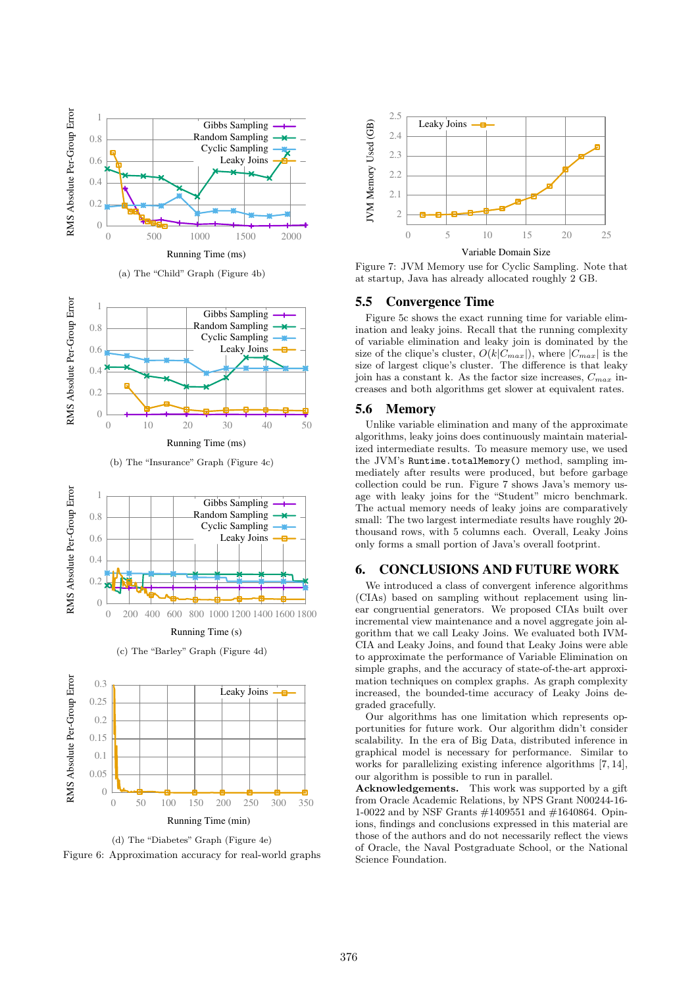

(a) The "Child" Graph (Figure 4b)



(b) The "Insurance" Graph (Figure 4c)



Running Time (s)

(c) The "Barley" Graph (Figure 4d)



(d) The "Diabetes" Graph (Figure 4e) Figure 6: Approximation accuracy for real-world graphs



Figure 7: JVM Memory use for Cyclic Sampling. Note that at startup, Java has already allocated roughly 2 GB.

#### 5.5 Convergence Time

Figure 5c shows the exact running time for variable elimination and leaky joins. Recall that the running complexity of variable elimination and leaky join is dominated by the size of the clique's cluster,  $O(k|C_{max}|)$ , where  $|C_{max}|$  is the size of largest clique's cluster. The difference is that leaky join has a constant k. As the factor size increases,  $C_{max}$  increases and both algorithms get slower at equivalent rates.

#### 5.6 Memory

Unlike variable elimination and many of the approximate algorithms, leaky joins does continuously maintain materialized intermediate results. To measure memory use, we used the JVM's Runtime.totalMemory() method, sampling immediately after results were produced, but before garbage collection could be run. Figure 7 shows Java's memory usage with leaky joins for the "Student" micro benchmark. The actual memory needs of leaky joins are comparatively small: The two largest intermediate results have roughly 20 thousand rows, with 5 columns each. Overall, Leaky Joins only forms a small portion of Java's overall footprint.

# 6. CONCLUSIONS AND FUTURE WORK

We introduced a class of convergent inference algorithms (CIAs) based on sampling without replacement using linear congruential generators. We proposed CIAs built over incremental view maintenance and a novel aggregate join algorithm that we call Leaky Joins. We evaluated both IVM-CIA and Leaky Joins, and found that Leaky Joins were able to approximate the performance of Variable Elimination on simple graphs, and the accuracy of state-of-the-art approximation techniques on complex graphs. As graph complexity increased, the bounded-time accuracy of Leaky Joins degraded gracefully.

Our algorithms has one limitation which represents opportunities for future work. Our algorithm didn't consider scalability. In the era of Big Data, distributed inference in graphical model is necessary for performance. Similar to works for parallelizing existing inference algorithms [7, 14], our algorithm is possible to run in parallel.

Acknowledgements. This work was supported by a gift from Oracle Academic Relations, by NPS Grant N00244-16- 1-0022 and by NSF Grants #1409551 and #1640864. Opinions, findings and conclusions expressed in this material are those of the authors and do not necessarily reflect the views of Oracle, the Naval Postgraduate School, or the National Science Foundation.